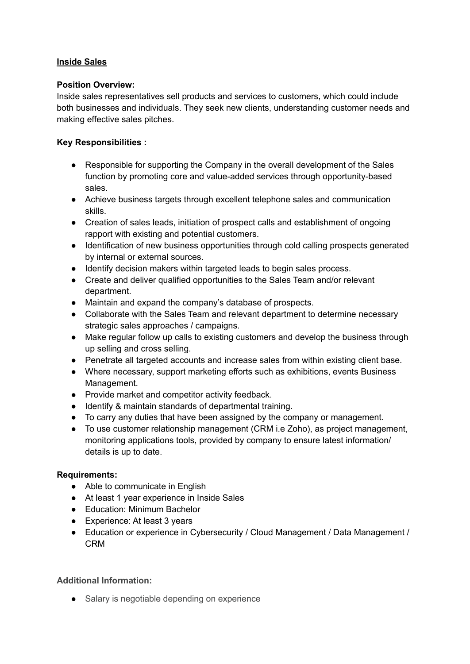# **Inside Sales**

## **Position Overview:**

Inside sales representatives sell products and services to customers, which could include both businesses and individuals. They seek new clients, understanding customer needs and making effective sales pitches.

# **Key Responsibilities :**

- Responsible for supporting the Company in the overall development of the Sales function by promoting core and value-added services through opportunity-based sales.
- Achieve business targets through excellent telephone sales and communication skills.
- Creation of sales leads, initiation of prospect calls and establishment of ongoing rapport with existing and potential customers.
- Identification of new business opportunities through cold calling prospects generated by internal or external sources.
- Identify decision makers within targeted leads to begin sales process.
- Create and deliver qualified opportunities to the Sales Team and/or relevant department.
- Maintain and expand the company's database of prospects.
- Collaborate with the Sales Team and relevant department to determine necessary strategic sales approaches / campaigns.
- Make regular follow up calls to existing customers and develop the business through up selling and cross selling.
- Penetrate all targeted accounts and increase sales from within existing client base.
- Where necessary, support marketing efforts such as exhibitions, events Business Management.
- Provide market and competitor activity feedback.
- Identify & maintain standards of departmental training.
- To carry any duties that have been assigned by the company or management.
- To use customer relationship management (CRM i.e Zoho), as project management, monitoring applications tools, provided by company to ensure latest information/ details is up to date.

### **Requirements:**

- Able to communicate in English
- At least 1 year experience in Inside Sales
- Education: Minimum Bachelor
- Experience: At least 3 years
- Education or experience in Cybersecurity / Cloud Management / Data Management / CRM

### **Additional Information:**

● Salary is negotiable depending on experience